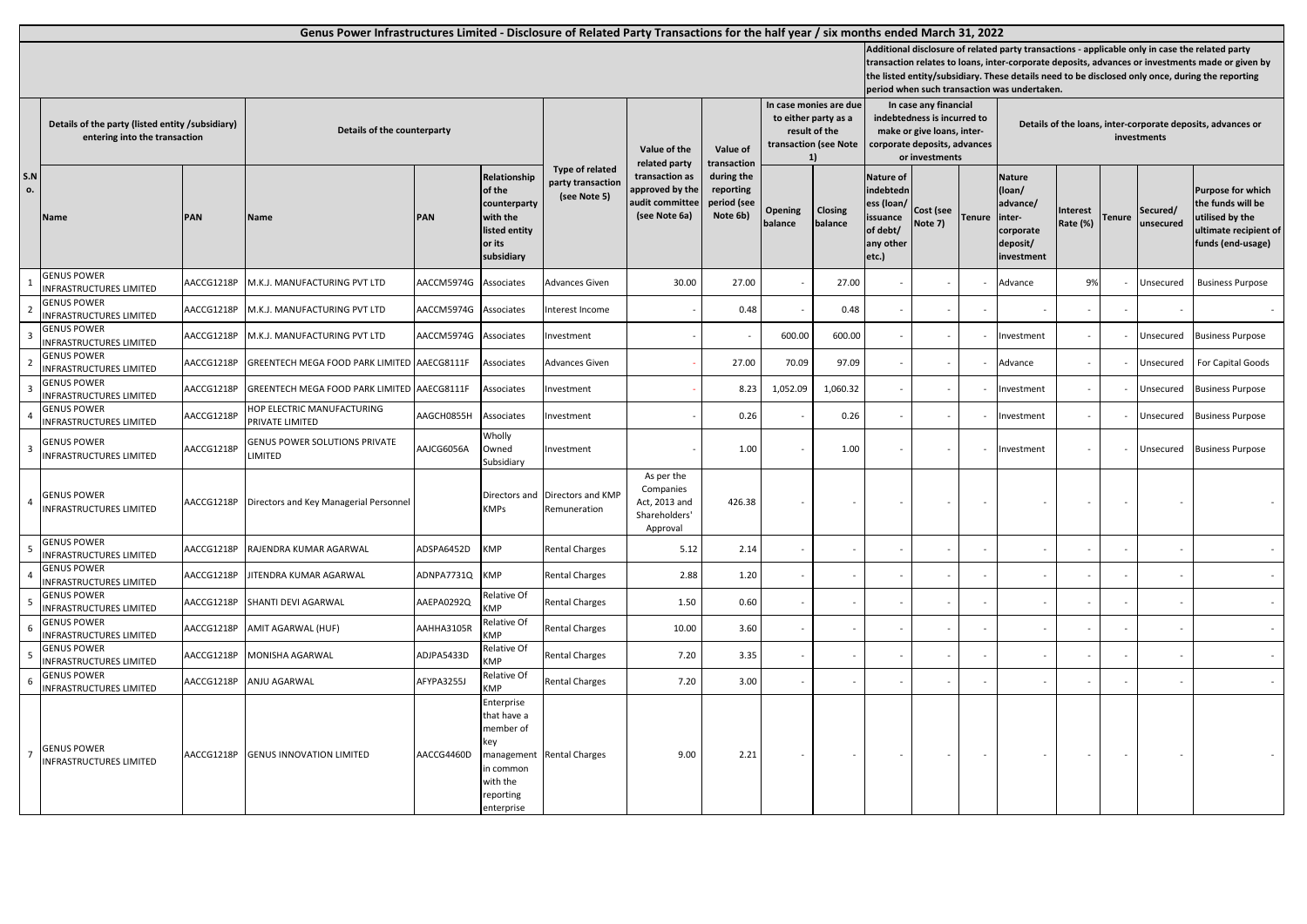|                 |                                                                                   |            | Genus Power Infrastructures Limited - Disclosure of Related Party Transactions for the half year / six months ended March 31, 2022 |            |                                                                                                                |                                                      |                                                                       |                                                                                                |                    |                    |                                                                                                                                      |                      |                                                                            |                                                                                      |                      |                          |                       |                                                                                                                                                                                                                                                                                                         |  |  |
|-----------------|-----------------------------------------------------------------------------------|------------|------------------------------------------------------------------------------------------------------------------------------------|------------|----------------------------------------------------------------------------------------------------------------|------------------------------------------------------|-----------------------------------------------------------------------|------------------------------------------------------------------------------------------------|--------------------|--------------------|--------------------------------------------------------------------------------------------------------------------------------------|----------------------|----------------------------------------------------------------------------|--------------------------------------------------------------------------------------|----------------------|--------------------------|-----------------------|---------------------------------------------------------------------------------------------------------------------------------------------------------------------------------------------------------------------------------------------------------------------------------------------------------|--|--|
|                 |                                                                                   |            |                                                                                                                                    |            |                                                                                                                |                                                      |                                                                       |                                                                                                |                    |                    |                                                                                                                                      |                      |                                                                            | period when such transaction was undertaken.                                         |                      |                          |                       | Additional disclosure of related party transactions - applicable only in case the related party<br>transaction relates to loans, inter-corporate deposits, advances or investments made or given by<br>the listed entity/subsidiary. These details need to be disclosed only once, during the reporting |  |  |
|                 | Details of the party (listed entity /subsidiary)<br>entering into the transaction |            | Details of the counterparty                                                                                                        |            |                                                                                                                | Value of the<br>related party                        | Value of<br>transaction                                               | In case monies are due<br>to either party as a<br>result of the<br>transaction (see Note<br>11 |                    |                    | In case any financial<br>indebtedness is incurred to<br>make or give loans, inter-<br>corporate deposits, advances<br>or investments |                      | Details of the loans, inter-corporate deposits, advances or<br>investments |                                                                                      |                      |                          |                       |                                                                                                                                                                                                                                                                                                         |  |  |
| S.N<br>ο.       | Name                                                                              | PAN        | Name                                                                                                                               | PAN        | Relationship<br>of the<br>counterparty<br>with the<br>listed entity<br>or its<br>subsidiary                    | Type of related<br>party transaction<br>(see Note 5) | transaction as<br>approved by the<br>audit committee<br>(see Note 6a) | during the<br>reporting<br>period (see<br>Note 6b)                                             | Opening<br>balance | Closing<br>balance | <b>Nature of</b><br>indebtedn<br>ess (loan/<br>issuance<br>of debt/<br>any other<br>etc.)                                            | Cost (see<br>Note 7) | <b>Tenure</b>                                                              | <b>Nature</b><br>(loan/<br>advance/<br>inter-<br>corporate<br>deposit/<br>investment | Interest<br>Rate (%) | <b>Tenure</b>            | Secured/<br>unsecured | <b>Purpose for which</b><br>the funds will be<br><b>utilised by the</b><br>ultimate recipient of<br>funds (end-usage)                                                                                                                                                                                   |  |  |
|                 | <b>GENUS POWER</b><br>NFRASTRUCTURES LIMITED                                      | AACCG1218P | M.K.J. MANUFACTURING PVT LTD                                                                                                       | AACCM5974G | Associates                                                                                                     | Advances Given                                       | 30.00                                                                 | 27.00                                                                                          |                    | 27.00              |                                                                                                                                      |                      |                                                                            | Advance                                                                              | 9%                   |                          | Unsecured             | <b>Business Purpose</b>                                                                                                                                                                                                                                                                                 |  |  |
|                 | <b>GENUS POWER</b><br>INFRASTRUCTURES LIMITED                                     | AACCG1218P | M.K.J. MANUFACTURING PVT LTD                                                                                                       | AACCM5974G | Associates                                                                                                     | nterest Income                                       |                                                                       | 0.48                                                                                           |                    | 0.48               |                                                                                                                                      |                      |                                                                            |                                                                                      |                      |                          |                       |                                                                                                                                                                                                                                                                                                         |  |  |
|                 | <b>GENUS POWER</b><br>NFRASTRUCTURES LIMITED                                      | AACCG1218P | M.K.J. MANUFACTURING PVT LTD                                                                                                       | AACCM5974G | Associates                                                                                                     | investment                                           |                                                                       |                                                                                                | 600.00             | 600.00             |                                                                                                                                      |                      |                                                                            | Investment                                                                           |                      |                          | Unsecured             | <b>Business Purpose</b>                                                                                                                                                                                                                                                                                 |  |  |
|                 | <b>GENUS POWER</b><br>INFRASTRUCTURES LIMITED                                     | AACCG1218P | GREENTECH MEGA FOOD PARK LIMITED                                                                                                   | AAECG8111F | Associates                                                                                                     | Advances Given                                       |                                                                       | 27.00                                                                                          | 70.09              | 97.09              |                                                                                                                                      |                      |                                                                            | Advance                                                                              |                      |                          | Jnsecured             | For Capital Goods                                                                                                                                                                                                                                                                                       |  |  |
|                 | <b>GENUS POWER</b><br><b>INFRASTRUCTURES LIMITED</b>                              | AACCG1218P | GREENTECH MEGA FOOD PARK LIMITED                                                                                                   | AAECG8111F | Associates                                                                                                     | nvestment                                            |                                                                       | 8.23                                                                                           | 1,052.09           | 1,060.32           |                                                                                                                                      |                      |                                                                            | Investment                                                                           |                      |                          | Unsecured             | <b>Business Purpose</b>                                                                                                                                                                                                                                                                                 |  |  |
|                 | <b>GENUS POWER</b><br>INFRASTRUCTURES LIMITED                                     | AACCG1218P | HOP ELECTRIC MANUFACTURING<br>PRIVATE LIMITED                                                                                      | AAGCH0855H | Associates                                                                                                     | nvestment                                            |                                                                       | 0.26                                                                                           |                    | 0.26               |                                                                                                                                      |                      |                                                                            | Investment                                                                           |                      |                          | Unsecured             | <b>Business Purpose</b>                                                                                                                                                                                                                                                                                 |  |  |
| 3               | <b>GENUS POWER</b><br>INFRASTRUCTURES LIMITED                                     | AACCG1218P | <b>GENUS POWER SOLUTIONS PRIVATE</b><br>LIMITED                                                                                    | AJCG6056A  | Wholly<br>Owned<br>Subsidiary                                                                                  | nvestment                                            |                                                                       | 1.00                                                                                           |                    | 1.00               |                                                                                                                                      |                      |                                                                            | Investment                                                                           |                      |                          | Unsecured             | <b>Business Purpose</b>                                                                                                                                                                                                                                                                                 |  |  |
| $\overline{4}$  | <b>GENUS POWER</b><br><b>INFRASTRUCTURES LIMITED</b>                              | AACCG1218P | Directors and Key Managerial Personnel                                                                                             |            | Directors and<br><b>KMPs</b>                                                                                   | Directors and KMP<br>Remuneration                    | As per the<br>Companies<br>Act, 2013 and<br>Shareholders'<br>Approval | 426.38                                                                                         |                    |                    |                                                                                                                                      |                      |                                                                            |                                                                                      |                      |                          |                       |                                                                                                                                                                                                                                                                                                         |  |  |
|                 | <b>GENUS POWER</b><br>INFRASTRUCTURES LIMITED                                     | AACCG1218P | RAJENDRA KUMAR AGARWAL                                                                                                             | ADSPA6452D | <b>KMP</b>                                                                                                     | <b>Rental Charges</b>                                | 5.12                                                                  | 2.14                                                                                           |                    |                    |                                                                                                                                      |                      |                                                                            |                                                                                      |                      |                          |                       |                                                                                                                                                                                                                                                                                                         |  |  |
|                 | <b>GENUS POWER</b><br>INFRASTRUCTURES LIMITED                                     | AACCG1218P | <b>JITENDRA KUMAR AGARWAL</b>                                                                                                      | ADNPA7731Q | <b>KMP</b>                                                                                                     | <b>Rental Charges</b>                                | 2.88                                                                  | 1.20                                                                                           |                    |                    |                                                                                                                                      |                      |                                                                            |                                                                                      |                      |                          |                       |                                                                                                                                                                                                                                                                                                         |  |  |
|                 | <b>GENUS POWER</b><br><b>INFRASTRUCTURES LIMITED</b>                              | AACCG1218P | SHANTI DEVI AGARWAL                                                                                                                | AAEPA0292Q | Relative Of<br>KMP                                                                                             | <b>Rental Charges</b>                                | 1.50                                                                  | 0.60                                                                                           |                    |                    |                                                                                                                                      |                      |                                                                            |                                                                                      |                      | $\sim$                   |                       |                                                                                                                                                                                                                                                                                                         |  |  |
|                 | <b>GENUS POWER</b><br>NFRASTRUCTURES LIMITED                                      | AACCG1218P | AMIT AGARWAL (HUF)                                                                                                                 | AAHHA3105R | Relative Of<br>(MP                                                                                             | <b>Rental Charges</b>                                | 10.00                                                                 | 3.60                                                                                           |                    |                    |                                                                                                                                      |                      |                                                                            |                                                                                      |                      |                          |                       |                                                                                                                                                                                                                                                                                                         |  |  |
|                 | <b>GENUS POWER</b><br>INFRASTRUCTURES LIMITED                                     | AACCG1218P | MONISHA AGARWAL                                                                                                                    | ADJPA5433D | Relative Of<br>MP:                                                                                             | Rental Charges                                       | 7.20                                                                  | 3.35                                                                                           |                    |                    |                                                                                                                                      |                      |                                                                            |                                                                                      |                      | $\sim$                   |                       |                                                                                                                                                                                                                                                                                                         |  |  |
|                 | <b>GENUS POWER</b><br>INFRASTRUCTURES LIMITED                                     | AACCG1218P | ANJU AGARWAL                                                                                                                       | AFYPA3255J | Relative Of<br>KMP                                                                                             | <b>Rental Charges</b>                                | 7.20                                                                  | 3.00                                                                                           |                    |                    |                                                                                                                                      |                      |                                                                            |                                                                                      |                      |                          |                       |                                                                                                                                                                                                                                                                                                         |  |  |
| $7\overline{ }$ | <b>GENUS POWER</b><br><b>INFRASTRUCTURES LIMITED</b>                              | AACCG1218P | <b>GENUS INNOVATION LIMITED</b>                                                                                                    | AACCG4460D | Enterprise<br>that have a<br>member of<br>key<br>managemen<br>in common<br>with the<br>reporting<br>enterprise | <b>Rental Charges</b>                                | 9.00                                                                  | 2.21                                                                                           |                    |                    |                                                                                                                                      |                      |                                                                            |                                                                                      |                      | $\overline{\phantom{a}}$ |                       |                                                                                                                                                                                                                                                                                                         |  |  |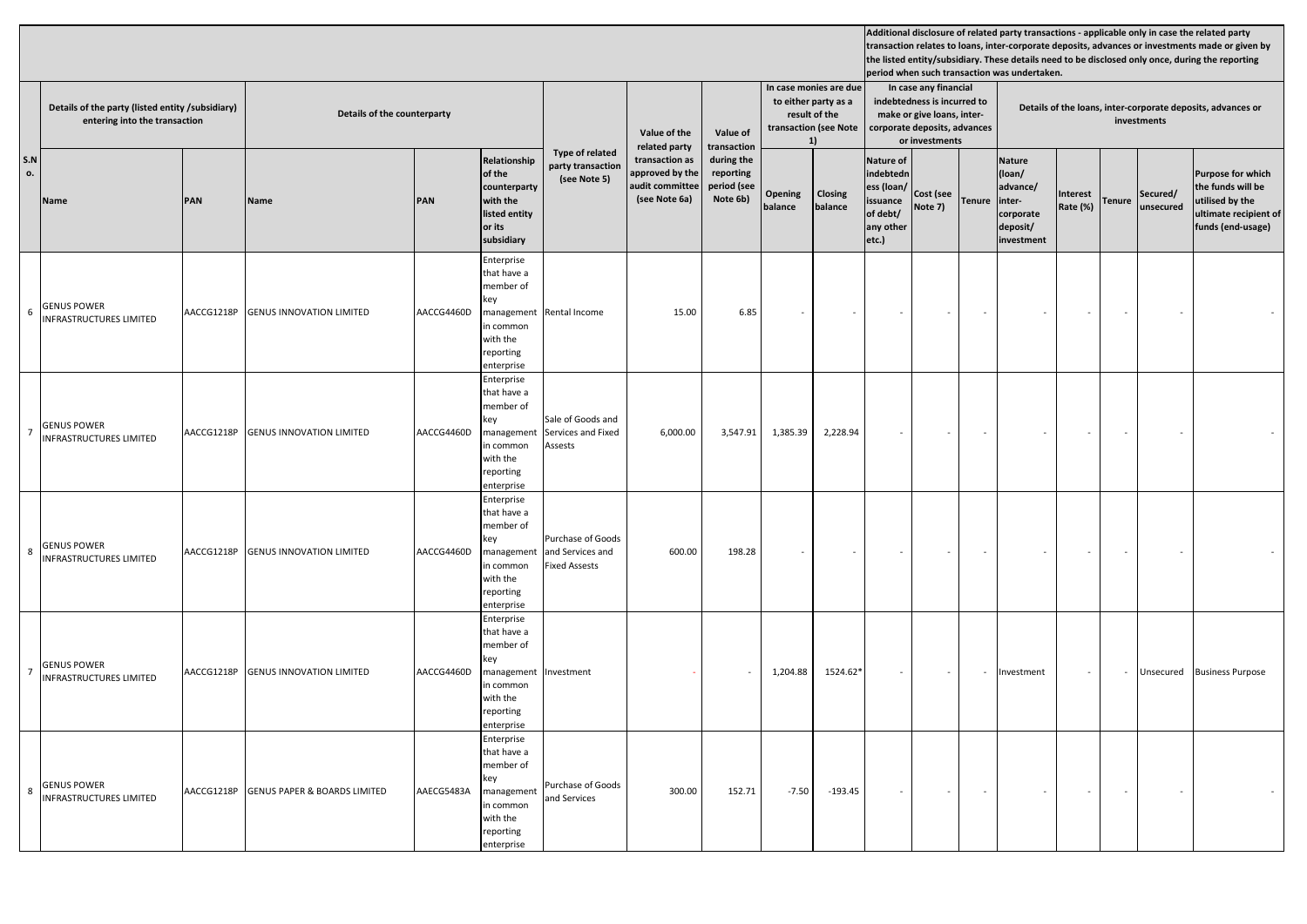|           |                                                                                   |            |                                         |            |                                                                                                                 |                                                               |                               |                                                                       |                                                                      | In case monies are due    |                    | In case any financial                                                                                       |                      |                                                                            |                                                                                      |                          |               |                         |                                                                                                                |  |  |
|-----------|-----------------------------------------------------------------------------------|------------|-----------------------------------------|------------|-----------------------------------------------------------------------------------------------------------------|---------------------------------------------------------------|-------------------------------|-----------------------------------------------------------------------|----------------------------------------------------------------------|---------------------------|--------------------|-------------------------------------------------------------------------------------------------------------|----------------------|----------------------------------------------------------------------------|--------------------------------------------------------------------------------------|--------------------------|---------------|-------------------------|----------------------------------------------------------------------------------------------------------------|--|--|
|           | Details of the party (listed entity /subsidiary)<br>entering into the transaction |            | Details of the counterparty             |            |                                                                                                                 |                                                               | Value of the<br>related party | Value of<br>transaction                                               | to either party as a<br>result of the<br>transaction (see Note<br>1) |                           |                    | indebtedness is incurred to<br>make or give loans, inter-<br>corporate deposits, advances<br>or investments |                      | Details of the loans, inter-corporate deposits, advances or<br>investments |                                                                                      |                          |               |                         |                                                                                                                |  |  |
| S.N<br>ο. | Name                                                                              | PAN        | Name                                    | PAN        | Relationship<br>of the<br>counterparty<br>with the<br>listed entity<br>or its<br>subsidiary                     | Type of related<br>party transaction<br>(see Note 5)          |                               | transaction as<br>approved by the<br>audit committee<br>(see Note 6a) | during the<br>reporting<br>period (see<br>Note 6b)                   | <b>Opening</b><br>balance | Closing<br>balance | <b>Nature of</b><br>indebtedn<br>ess (loan/<br>issuance<br>of debt/<br>any other<br>etc.)                   | Cost (see<br>Note 7) | <b>Tenure</b>                                                              | <b>Nature</b><br>(loan/<br>advance/<br>inter-<br>corporate<br>deposit/<br>investment | Interest<br>Rate (%)     | <b>Tenure</b> | Secured/<br>unsecured   | <b>Purpose for which</b><br>the funds will be<br>utilised by the<br>ultimate recipient of<br>funds (end-usage) |  |  |
|           | 6 GENUS POWER<br>INFRASTRUCTURES LIMITED                                          | AACCG1218P | <b>GENUS INNOVATION LIMITED</b>         | AACCG4460D | Enterprise<br>that have a<br>member of<br>key<br>management<br>in common<br>with the<br>reporting<br>enterprise | Rental Income                                                 | 15.00                         | 6.85                                                                  | $\sim$                                                               |                           |                    | $\overline{\phantom{a}}$                                                                                    | $\sim$               | $\sim$                                                                     |                                                                                      | $\overline{\phantom{a}}$ | $\sim$        |                         |                                                                                                                |  |  |
|           | 7 GENUS POWER<br><b>INFRASTRUCTURES LIMITED</b>                                   | AACCG1218P | <b>GENUS INNOVATION LIMITED</b>         | AACCG4460D | Enterprise<br>that have a<br>member of<br>key<br>management<br>in common<br>with the<br>reporting<br>enterprise | Sale of Goods and<br>Services and Fixed<br>Assests            | 6,000.00                      | 3,547.91                                                              | 1,385.39                                                             | 2,228.94                  |                    |                                                                                                             |                      |                                                                            |                                                                                      | $\bar{a}$                |               |                         |                                                                                                                |  |  |
|           | 8 GENUS POWER<br>INFRASTRUCTURES LIMITED                                          | AACCG1218P | <b>GENUS INNOVATION LIMITED</b>         | AACCG4460D | Enterprise<br>that have a<br>member of<br>key<br>managemen<br>in common<br>with the<br>reporting<br>enterprise  | Purchase of Goods<br>and Services and<br><b>Fixed Assests</b> | 600.00                        | 198.28                                                                |                                                                      |                           |                    |                                                                                                             |                      |                                                                            |                                                                                      | $\sim$                   |               |                         |                                                                                                                |  |  |
|           | <b>GENUS POWER</b><br>INFRASTRUCTURES LIMITED                                     | AACCG1218P | <b>GENUS INNOVATION LIMITED</b>         | AACCG4460D | Enterprise<br>that have a<br>member of<br>key<br>management<br>in common<br>with the<br>reporting<br>enterprise | Investment                                                    |                               |                                                                       | 1,204.88                                                             | 1524.62*                  |                    |                                                                                                             |                      | Investment                                                                 |                                                                                      | $\sim$                   | Unsecured     | <b>Business Purpose</b> |                                                                                                                |  |  |
|           | 8 GENUS POWER<br>INFRASTRUCTURES LIMITED                                          | AACCG1218P | <b>GENUS PAPER &amp; BOARDS LIMITED</b> | AAECG5483A | Enterprise<br>that have a<br>member of<br>key<br>management<br>in common<br>with the<br>reporting<br>enterprise | Purchase of Goods<br>and Services                             | 300.00                        | 152.71                                                                | $-7.50$                                                              | $-193.45$                 | $\sim$             | $\overline{\phantom{a}}$                                                                                    |                      | $\sim$                                                                     |                                                                                      | $\overline{\phantom{a}}$ | $\sim$        |                         |                                                                                                                |  |  |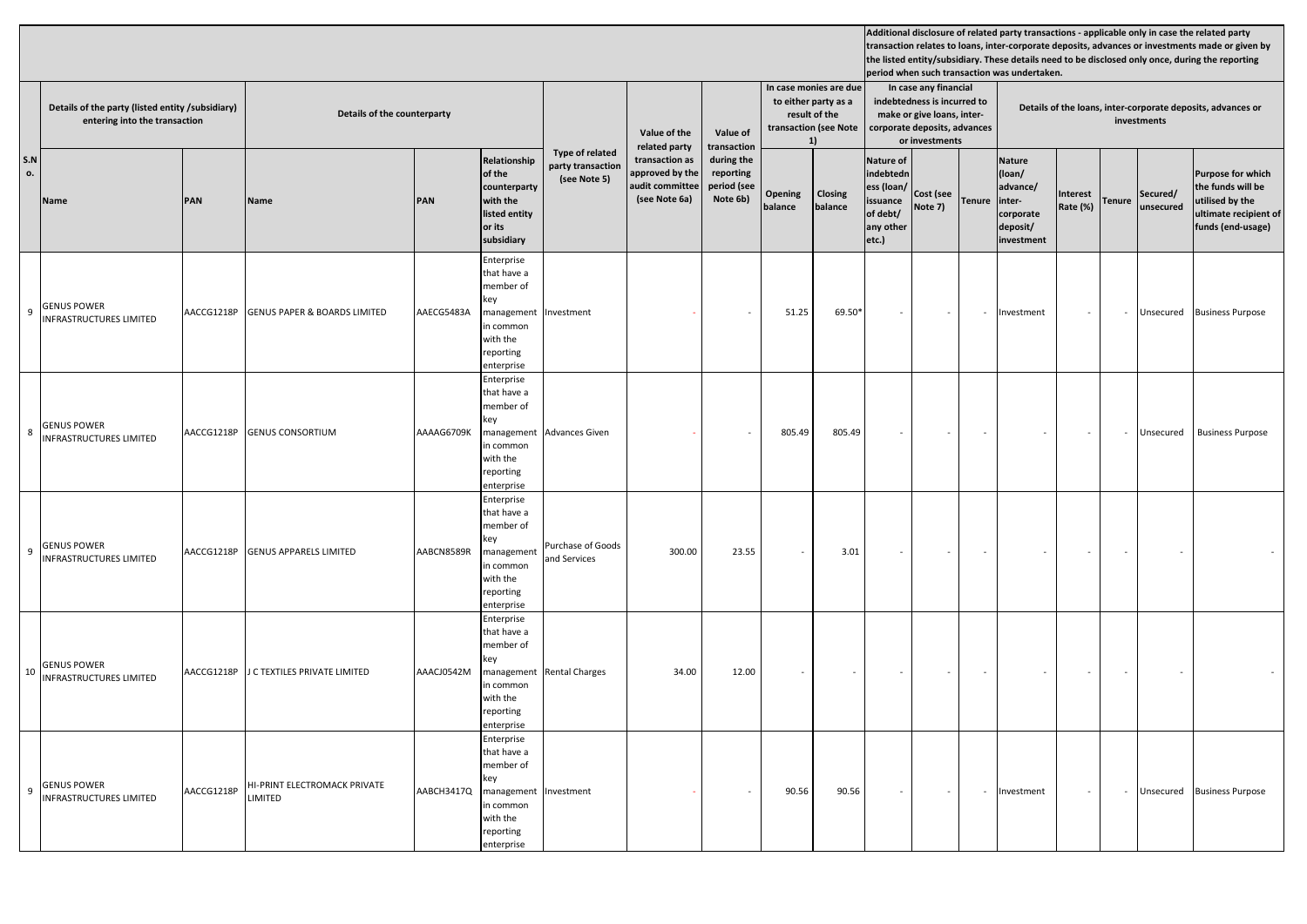|           | Details of the party (listed entity /subsidiary)<br>entering into the transaction |            |                                                      | Details of the counterparty |                                                                                                                 |                                                      | Value of the<br>related party                                         | Value of<br>transaction                            | In case monies are due<br>to either party as a<br>result of the<br>transaction (see Note<br>1) |                    |                                                                                           | In case any financial<br>indebtedness is incurred to<br>make or give loans, inter-<br>corporate deposits, advances<br>or investments |               | Details of the loans, inter-corporate deposits, advances or<br>investments           |                      |                          |                          |                                                                                                                |  |  |
|-----------|-----------------------------------------------------------------------------------|------------|------------------------------------------------------|-----------------------------|-----------------------------------------------------------------------------------------------------------------|------------------------------------------------------|-----------------------------------------------------------------------|----------------------------------------------------|------------------------------------------------------------------------------------------------|--------------------|-------------------------------------------------------------------------------------------|--------------------------------------------------------------------------------------------------------------------------------------|---------------|--------------------------------------------------------------------------------------|----------------------|--------------------------|--------------------------|----------------------------------------------------------------------------------------------------------------|--|--|
| S.N<br>ο. | Name                                                                              | PAN        | Name                                                 | PAN                         | Relationship<br>of the<br>counterparty<br>with the<br>listed entity<br>or its<br>subsidiary                     | Type of related<br>party transaction<br>(see Note 5) | transaction as<br>approved by the<br>audit committee<br>(see Note 6a) | during the<br>reporting<br>period (see<br>Note 6b) | <b>Opening</b><br>balance                                                                      | Closing<br>balance | <b>Nature of</b><br>indebtedn<br>ess (loan/<br>issuance<br>of debt/<br>any other<br>etc.) | Cost (see<br>Note 7)                                                                                                                 | <b>Tenure</b> | <b>Nature</b><br>(loan/<br>advance/<br>inter-<br>corporate<br>deposit/<br>investment | Interest<br>Rate (%) | <b>Tenure</b>            | Secured/<br>unsecured    | <b>Purpose for which</b><br>the funds will be<br>utilised by the<br>ultimate recipient of<br>funds (end-usage) |  |  |
|           | 9 GENUS POWER<br>INFRASTRUCTURES LIMITED                                          | AACCG1218P | <b>GENUS PAPER &amp; BOARDS LIMITED</b>              | AAECG5483A                  | Enterprise<br>that have a<br>member of<br>key<br>management<br>in common<br>with the<br>reporting<br>enterprise | Investment                                           |                                                                       |                                                    | 51.25                                                                                          | 69.50*             | $\sim$                                                                                    | $\sim$                                                                                                                               |               | Investment                                                                           | $\sim$               | $\sim$                   |                          | Unsecured Business Purpose                                                                                     |  |  |
|           | 8 GENUS POWER<br><b>INFRASTRUCTURES LIMITED</b>                                   | AACCG1218P | <b>GENUS CONSORTIUM</b>                              | AAAAG6709K                  | Enterprise<br>that have a<br>member of<br>key<br>management<br>in common<br>with the<br>reporting<br>enterprise | <b>Advances Given</b>                                |                                                                       |                                                    | 805.49                                                                                         | 805.49             |                                                                                           |                                                                                                                                      |               |                                                                                      |                      | $\overline{\phantom{a}}$ | Unsecured                | <b>Business Purpose</b>                                                                                        |  |  |
|           | 9 GENUS POWER<br>INFRASTRUCTURES LIMITED                                          | AACCG1218P | <b>GENUS APPARELS LIMITED</b>                        | AABCN8589R                  | Enterprise<br>that have a<br>member of<br>key<br>management<br>in common<br>with the<br>reporting<br>enterprise | Purchase of Goods<br>and Services                    | 300.00                                                                | 23.55                                              | $\sim$                                                                                         | 3.01               |                                                                                           |                                                                                                                                      |               |                                                                                      |                      | $\sim$                   | $\overline{\phantom{a}}$ |                                                                                                                |  |  |
|           | 10 GENUS POWER<br>INFRASTRUCTURES LIMITED                                         | AACCG1218P | J C TEXTILES PRIVATE LIMITED                         | AAACJ0542M                  | Enterprise<br>that have a<br>member of<br>key<br>management<br>in common<br>with the<br>reporting<br>enterprise | <b>Rental Charges</b>                                | 34.00                                                                 | 12.00                                              | $\sim$                                                                                         |                    |                                                                                           | $\bar{\phantom{a}}$                                                                                                                  |               | $\sim$                                                                               |                      | $\overline{\phantom{a}}$ | $\sim$                   |                                                                                                                |  |  |
|           | 9 GENUS POWER<br>INFRASTRUCTURES LIMITED                                          | AACCG1218P | <b>HI-PRINT ELECTROMACK PRIVATE</b><br><b>IMITED</b> | AABCH3417Q                  | Enterprise<br>that have a<br>member of<br>key<br>management<br>in common<br>with the<br>reporting<br>enterprise | Investment                                           |                                                                       |                                                    | 90.56                                                                                          | 90.56              | $\sim$                                                                                    | $\overline{\phantom{a}}$                                                                                                             |               | Investment                                                                           |                      | $\sim$                   | Unsecured                | <b>Business Purpose</b>                                                                                        |  |  |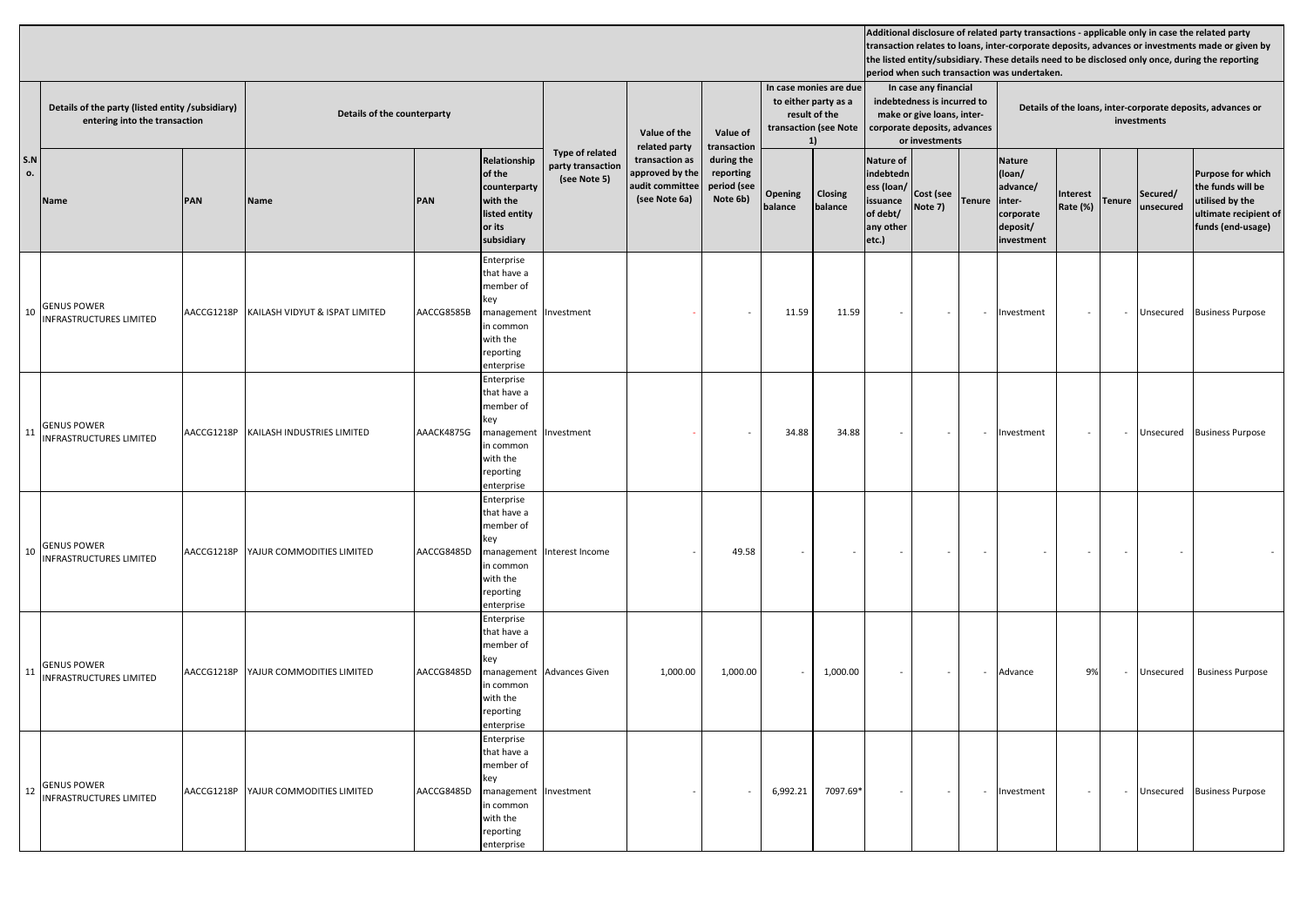|           | Details of the party (listed entity /subsidiary)<br>entering into the transaction |            | Details of the counterparty    |            |                                                                                                                 |                                                      | Value of the<br>related party                                         | Value of<br>transaction                            | In case monies are due<br>to either party as a<br>result of the<br>transaction (see Note<br>1) |                    |                                                                                           | In case any financial<br>indebtedness is incurred to<br>make or give loans, inter-<br>corporate deposits, advances<br>or investments |               | Details of the loans, inter-corporate deposits, advances or<br>investments           |                      |               |                          |                                                                                                                |  |  |
|-----------|-----------------------------------------------------------------------------------|------------|--------------------------------|------------|-----------------------------------------------------------------------------------------------------------------|------------------------------------------------------|-----------------------------------------------------------------------|----------------------------------------------------|------------------------------------------------------------------------------------------------|--------------------|-------------------------------------------------------------------------------------------|--------------------------------------------------------------------------------------------------------------------------------------|---------------|--------------------------------------------------------------------------------------|----------------------|---------------|--------------------------|----------------------------------------------------------------------------------------------------------------|--|--|
| S.N<br>ο. | Name                                                                              | PAN        | Name                           | PAN        | Relationship<br>of the<br>counterparty<br>with the<br>listed entity<br>or its<br>subsidiary                     | Type of related<br>party transaction<br>(see Note 5) | transaction as<br>approved by the<br>audit committee<br>(see Note 6a) | during the<br>reporting<br>period (see<br>Note 6b) | <b>Opening</b><br>balance                                                                      | Closing<br>balance | <b>Nature of</b><br>indebtedn<br>ess (loan/<br>issuance<br>of debt/<br>any other<br>etc.) | Cost (see<br>Note 7)                                                                                                                 | <b>Tenure</b> | <b>Nature</b><br>(loan/<br>advance/<br>inter-<br>corporate<br>deposit/<br>investment | Interest<br>Rate (%) | <b>Tenure</b> | Secured/<br>unsecured    | <b>Purpose for which</b><br>the funds will be<br>utilised by the<br>ultimate recipient of<br>funds (end-usage) |  |  |
|           | 10 GENUS POWER<br>INFRASTRUCTURES LIMITED                                         | AACCG1218P | KAILASH VIDYUT & ISPAT LIMITED | AACCG8585B | Enterprise<br>that have a<br>member of<br>key<br>management<br>in common<br>with the<br>reporting<br>enterprise | Investment                                           |                                                                       |                                                    | 11.59                                                                                          | 11.59              | $\sim$                                                                                    | $\sim$                                                                                                                               |               | Investment                                                                           | $\sim$               | $\sim$        |                          | Unsecured Business Purpose                                                                                     |  |  |
|           | 11 GENUS POWER<br>INFRASTRUCTURES LIMITED                                         | AACCG1218P | KAILASH INDUSTRIES LIMITED     | AAACK4875G | Enterprise<br>that have a<br>member of<br>key<br>management<br>in common<br>with the<br>reporting<br>enterprise | Investment                                           |                                                                       |                                                    | 34.88                                                                                          | 34.88              |                                                                                           |                                                                                                                                      |               | nvestment                                                                            |                      | $\sim$        |                          | Unsecured Business Purpose                                                                                     |  |  |
|           | 10 GENUS POWER<br>INFRASTRUCTURES LIMITED                                         | AACCG1218P | YAJUR COMMODITIES LIMITED      | AACCG8485D | Enterprise<br>that have a<br>member of<br>key<br>management<br>in common<br>with the<br>reporting<br>enterprise | Interest Income                                      |                                                                       | 49.58                                              |                                                                                                |                    |                                                                                           |                                                                                                                                      |               | $\sim$                                                                               |                      | $\sim$        | $\overline{\phantom{a}}$ |                                                                                                                |  |  |
|           | 11 GENUS POWER<br>INFRASTRUCTURES LIMITED                                         | AACCG1218P | YAJUR COMMODITIES LIMITED      | AACCG8485D | Enterprise<br>that have a<br>member of<br>key<br>management<br>in common<br>with the<br>reporting<br>enterprise | <b>Advances Given</b>                                | 1,000.00                                                              | 1,000.00                                           |                                                                                                | 1,000.00           | $\sim$                                                                                    | $\bar{\phantom{a}}$                                                                                                                  |               | Advance                                                                              | 9%                   | $\sim$        | Unsecured                | <b>Business Purpose</b>                                                                                        |  |  |
|           | 12 GENUS POWER<br>INFRASTRUCTURES LIMITED                                         | AACCG1218P | YAJUR COMMODITIES LIMITED      | AACCG8485D | Enterprise<br>that have a<br>member of<br>key<br>management<br>in common<br>with the<br>reporting<br>enterprise | Investment                                           |                                                                       |                                                    | 6,992.21                                                                                       | 7097.69*           | $\sim$                                                                                    | $\overline{\phantom{a}}$                                                                                                             |               | Investment                                                                           |                      | $\sim$        |                          | Unsecured Business Purpose                                                                                     |  |  |